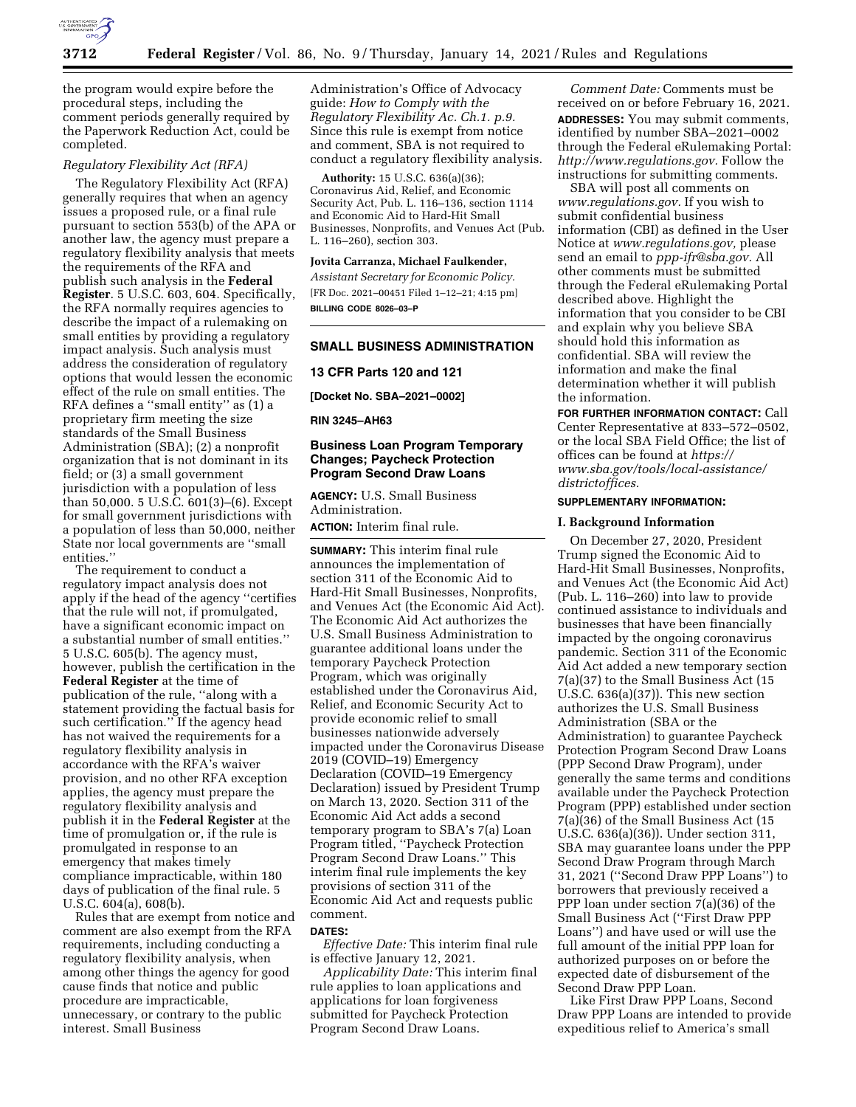

the program would expire before the procedural steps, including the comment periods generally required by the Paperwork Reduction Act, could be completed.

# *Regulatory Flexibility Act (RFA)*

The Regulatory Flexibility Act (RFA) generally requires that when an agency issues a proposed rule, or a final rule pursuant to section 553(b) of the APA or another law, the agency must prepare a regulatory flexibility analysis that meets the requirements of the RFA and publish such analysis in the **Federal Register**. 5 U.S.C. 603, 604. Specifically, the RFA normally requires agencies to describe the impact of a rulemaking on small entities by providing a regulatory impact analysis. Such analysis must address the consideration of regulatory options that would lessen the economic effect of the rule on small entities. The RFA defines a ''small entity'' as (1) a proprietary firm meeting the size standards of the Small Business Administration (SBA); (2) a nonprofit organization that is not dominant in its field; or (3) a small government jurisdiction with a population of less than 50,000. 5 U.S.C. 601(3)–(6). Except for small government jurisdictions with a population of less than 50,000, neither State nor local governments are ''small entities.''

The requirement to conduct a regulatory impact analysis does not apply if the head of the agency ''certifies that the rule will not, if promulgated, have a significant economic impact on a substantial number of small entities.'' 5 U.S.C. 605(b). The agency must, however, publish the certification in the **Federal Register** at the time of publication of the rule, ''along with a statement providing the factual basis for such certification.'' If the agency head has not waived the requirements for a regulatory flexibility analysis in accordance with the RFA's waiver provision, and no other RFA exception applies, the agency must prepare the regulatory flexibility analysis and publish it in the **Federal Register** at the time of promulgation or, if the rule is promulgated in response to an emergency that makes timely compliance impracticable, within 180 days of publication of the final rule. 5 U.S.C. 604(a), 608(b).

Rules that are exempt from notice and comment are also exempt from the RFA requirements, including conducting a regulatory flexibility analysis, when among other things the agency for good cause finds that notice and public procedure are impracticable, unnecessary, or contrary to the public interest. Small Business

Administration's Office of Advocacy guide: *How to Comply with the Regulatory Flexibility Ac. Ch.1. p.9.*  Since this rule is exempt from notice and comment, SBA is not required to conduct a regulatory flexibility analysis.

**Authority:** 15 U.S.C. 636(a)(36); Coronavirus Aid, Relief, and Economic Security Act, Pub. L. 116–136, section 1114 and Economic Aid to Hard-Hit Small Businesses, Nonprofits, and Venues Act (Pub. L. 116–260), section 303.

# **Jovita Carranza, Michael Faulkender,**

*Assistant Secretary for Economic Policy.*  [FR Doc. 2021–00451 Filed 1–12–21; 4:15 pm] **BILLING CODE 8026–03–P** 

# **SMALL BUSINESS ADMINISTRATION**

### **13 CFR Parts 120 and 121**

**[Docket No. SBA–2021–0002]** 

### **RIN 3245–AH63**

# **Business Loan Program Temporary Changes; Paycheck Protection Program Second Draw Loans**

**AGENCY:** U.S. Small Business Administration.

**ACTION:** Interim final rule.

**SUMMARY:** This interim final rule announces the implementation of section 311 of the Economic Aid to Hard-Hit Small Businesses, Nonprofits, and Venues Act (the Economic Aid Act). The Economic Aid Act authorizes the U.S. Small Business Administration to guarantee additional loans under the temporary Paycheck Protection Program, which was originally established under the Coronavirus Aid, Relief, and Economic Security Act to provide economic relief to small businesses nationwide adversely impacted under the Coronavirus Disease 2019 (COVID–19) Emergency Declaration (COVID–19 Emergency Declaration) issued by President Trump on March 13, 2020. Section 311 of the Economic Aid Act adds a second temporary program to SBA's 7(a) Loan Program titled, ''Paycheck Protection Program Second Draw Loans.'' This interim final rule implements the key provisions of section 311 of the Economic Aid Act and requests public comment.

#### **DATES:**

*Effective Date:* This interim final rule is effective January 12, 2021.

*Applicability Date:* This interim final rule applies to loan applications and applications for loan forgiveness submitted for Paycheck Protection Program Second Draw Loans.

*Comment Date:* Comments must be received on or before February 16, 2021. **ADDRESSES:** You may submit comments, identified by number SBA–2021–0002 through the Federal eRulemaking Portal: *[http://www.regulations.gov.](http://www.regulations.gov)* Follow the instructions for submitting comments.

SBA will post all comments on *[www.regulations.gov.](http://www.regulations.gov)* If you wish to submit confidential business information (CBI) as defined in the User Notice at *[www.regulations.gov,](http://www.regulations.gov)* please send an email to *[ppp-ifr@sba.gov.](mailto:ppp-ifr@sba.gov)* All other comments must be submitted through the Federal eRulemaking Portal described above. Highlight the information that you consider to be CBI and explain why you believe SBA should hold this information as confidential. SBA will review the information and make the final determination whether it will publish the information.

**FOR FURTHER INFORMATION CONTACT:** Call Center Representative at 833–572–0502, or the local SBA Field Office; the list of offices can be found at *[https://](https://www.sba.gov/tools/local-assistance/districtoffices) [www.sba.gov/tools/local-assistance/](https://www.sba.gov/tools/local-assistance/districtoffices)  [districtoffices.](https://www.sba.gov/tools/local-assistance/districtoffices)* 

# **SUPPLEMENTARY INFORMATION:**

### **I. Background Information**

On December 27, 2020, President Trump signed the Economic Aid to Hard-Hit Small Businesses, Nonprofits, and Venues Act (the Economic Aid Act) (Pub. L. 116–260) into law to provide continued assistance to individuals and businesses that have been financially impacted by the ongoing coronavirus pandemic. Section 311 of the Economic Aid Act added a new temporary section 7(a)(37) to the Small Business Act (15 U.S.C. 636(a)(37)). This new section authorizes the U.S. Small Business Administration (SBA or the Administration) to guarantee Paycheck Protection Program Second Draw Loans (PPP Second Draw Program), under generally the same terms and conditions available under the Paycheck Protection Program (PPP) established under section 7(a)(36) of the Small Business Act (15 U.S.C. 636(a)(36)). Under section 311, SBA may guarantee loans under the PPP Second Draw Program through March 31, 2021 (''Second Draw PPP Loans'') to borrowers that previously received a PPP loan under section 7(a)(36) of the Small Business Act (''First Draw PPP Loans'') and have used or will use the full amount of the initial PPP loan for authorized purposes on or before the expected date of disbursement of the Second Draw PPP Loan.

Like First Draw PPP Loans, Second Draw PPP Loans are intended to provide expeditious relief to America's small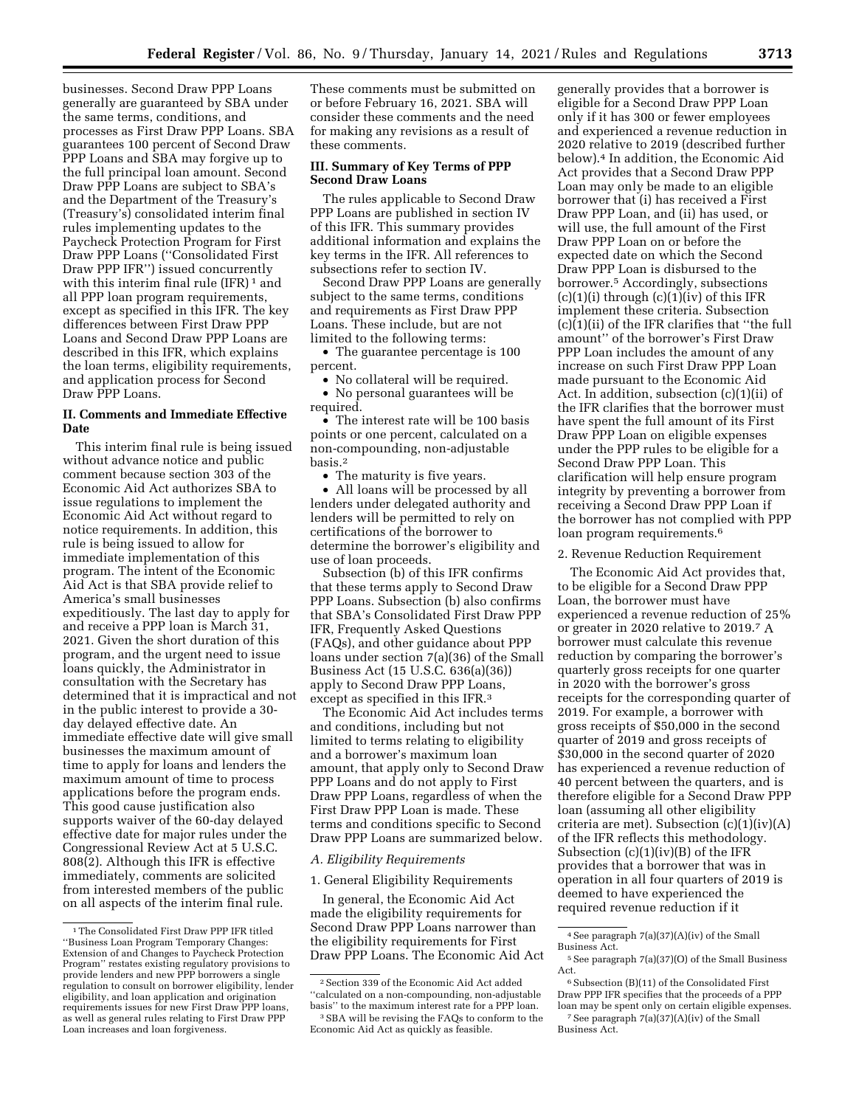businesses. Second Draw PPP Loans generally are guaranteed by SBA under the same terms, conditions, and processes as First Draw PPP Loans. SBA guarantees 100 percent of Second Draw PPP Loans and SBA may forgive up to the full principal loan amount. Second Draw PPP Loans are subject to SBA's and the Department of the Treasury's (Treasury's) consolidated interim final rules implementing updates to the Paycheck Protection Program for First Draw PPP Loans (''Consolidated First Draw PPP IFR'') issued concurrently with this interim final rule (IFR)<sup>1</sup> and all PPP loan program requirements, except as specified in this IFR. The key differences between First Draw PPP Loans and Second Draw PPP Loans are described in this IFR, which explains the loan terms, eligibility requirements, and application process for Second Draw PPP Loans.

# **II. Comments and Immediate Effective Date**

This interim final rule is being issued without advance notice and public comment because section 303 of the Economic Aid Act authorizes SBA to issue regulations to implement the Economic Aid Act without regard to notice requirements. In addition, this rule is being issued to allow for immediate implementation of this program. The intent of the Economic Aid Act is that SBA provide relief to America's small businesses expeditiously. The last day to apply for and receive a PPP loan is March 31, 2021. Given the short duration of this program, and the urgent need to issue loans quickly, the Administrator in consultation with the Secretary has determined that it is impractical and not in the public interest to provide a 30 day delayed effective date. An immediate effective date will give small businesses the maximum amount of time to apply for loans and lenders the maximum amount of time to process applications before the program ends. This good cause justification also supports waiver of the 60-day delayed effective date for major rules under the Congressional Review Act at 5 U.S.C. 808(2). Although this IFR is effective immediately, comments are solicited from interested members of the public on all aspects of the interim final rule.

These comments must be submitted on or before February 16, 2021. SBA will consider these comments and the need for making any revisions as a result of these comments.

### **III. Summary of Key Terms of PPP Second Draw Loans**

The rules applicable to Second Draw PPP Loans are published in section IV of this IFR. This summary provides additional information and explains the key terms in the IFR. All references to subsections refer to section IV.

Second Draw PPP Loans are generally subject to the same terms, conditions and requirements as First Draw PPP Loans. These include, but are not limited to the following terms:

• The guarantee percentage is 100 percent.

- No collateral will be required. • No personal guarantees will be
- required.

• The interest rate will be 100 basis points or one percent, calculated on a non-compounding, non-adjustable basis.2

• The maturity is five years.

• All loans will be processed by all lenders under delegated authority and lenders will be permitted to rely on certifications of the borrower to determine the borrower's eligibility and use of loan proceeds.

Subsection (b) of this IFR confirms that these terms apply to Second Draw PPP Loans. Subsection (b) also confirms that SBA's Consolidated First Draw PPP IFR, Frequently Asked Questions (FAQs), and other guidance about PPP loans under section 7(a)(36) of the Small Business Act (15 U.S.C. 636(a)(36)) apply to Second Draw PPP Loans, except as specified in this IFR.3

The Economic Aid Act includes terms and conditions, including but not limited to terms relating to eligibility and a borrower's maximum loan amount, that apply only to Second Draw PPP Loans and do not apply to First Draw PPP Loans, regardless of when the First Draw PPP Loan is made. These terms and conditions specific to Second Draw PPP Loans are summarized below.

### *A. Eligibility Requirements*

#### 1. General Eligibility Requirements

In general, the Economic Aid Act made the eligibility requirements for Second Draw PPP Loans narrower than the eligibility requirements for First Draw PPP Loans. The Economic Aid Act

generally provides that a borrower is eligible for a Second Draw PPP Loan only if it has 300 or fewer employees and experienced a revenue reduction in 2020 relative to 2019 (described further below).4 In addition, the Economic Aid Act provides that a Second Draw PPP Loan may only be made to an eligible borrower that (i) has received a First Draw PPP Loan, and (ii) has used, or will use, the full amount of the First Draw PPP Loan on or before the expected date on which the Second Draw PPP Loan is disbursed to the borrower.5 Accordingly, subsections  $(c)(1)(i)$  through  $(c)(1)(iv)$  of this IFR implement these criteria. Subsection (c)(1)(ii) of the IFR clarifies that ''the full amount'' of the borrower's First Draw PPP Loan includes the amount of any increase on such First Draw PPP Loan made pursuant to the Economic Aid Act. In addition, subsection (c)(1)(ii) of the IFR clarifies that the borrower must have spent the full amount of its First Draw PPP Loan on eligible expenses under the PPP rules to be eligible for a Second Draw PPP Loan. This clarification will help ensure program integrity by preventing a borrower from receiving a Second Draw PPP Loan if the borrower has not complied with PPP loan program requirements.<sup>6</sup>

## 2. Revenue Reduction Requirement

The Economic Aid Act provides that, to be eligible for a Second Draw PPP Loan, the borrower must have experienced a revenue reduction of 25% or greater in 2020 relative to 2019.7 A borrower must calculate this revenue reduction by comparing the borrower's quarterly gross receipts for one quarter in 2020 with the borrower's gross receipts for the corresponding quarter of 2019. For example, a borrower with gross receipts of \$50,000 in the second quarter of 2019 and gross receipts of \$30,000 in the second quarter of 2020 has experienced a revenue reduction of 40 percent between the quarters, and is therefore eligible for a Second Draw PPP loan (assuming all other eligibility criteria are met). Subsection (c)(1)(iv)(A) of the IFR reflects this methodology. Subsection  $(c)(1)(iv)(B)$  of the IFR provides that a borrower that was in operation in all four quarters of 2019 is deemed to have experienced the required revenue reduction if it

<sup>1</sup>The Consolidated First Draw PPP IFR titled ''Business Loan Program Temporary Changes: Extension of and Changes to Paycheck Protection Program'' restates existing regulatory provisions to provide lenders and new PPP borrowers a single regulation to consult on borrower eligibility, lender eligibility, and loan application and origination requirements issues for new First Draw PPP loans, as well as general rules relating to First Draw PPP Loan increases and loan forgiveness.

<sup>2</sup>Section 339 of the Economic Aid Act added ''calculated on a non-compounding, non-adjustable basis'' to the maximum interest rate for a PPP loan. 3SBA will be revising the FAQs to conform to the

Economic Aid Act as quickly as feasible.

 $^4$  See paragraph  $7(a)(37)(\mathrm{A})(\mathrm{iv})$  of the Small Business Act.

<sup>5</sup>See paragraph 7(a)(37)(O) of the Small Business Act.

 $^6$  Subsection (B)(11) of the Consolidated First Draw PPP IFR specifies that the proceeds of a PPP loan may be spent only on certain eligible expenses. 7See paragraph 7(a)(37)(A)(iv) of the Small Business Act.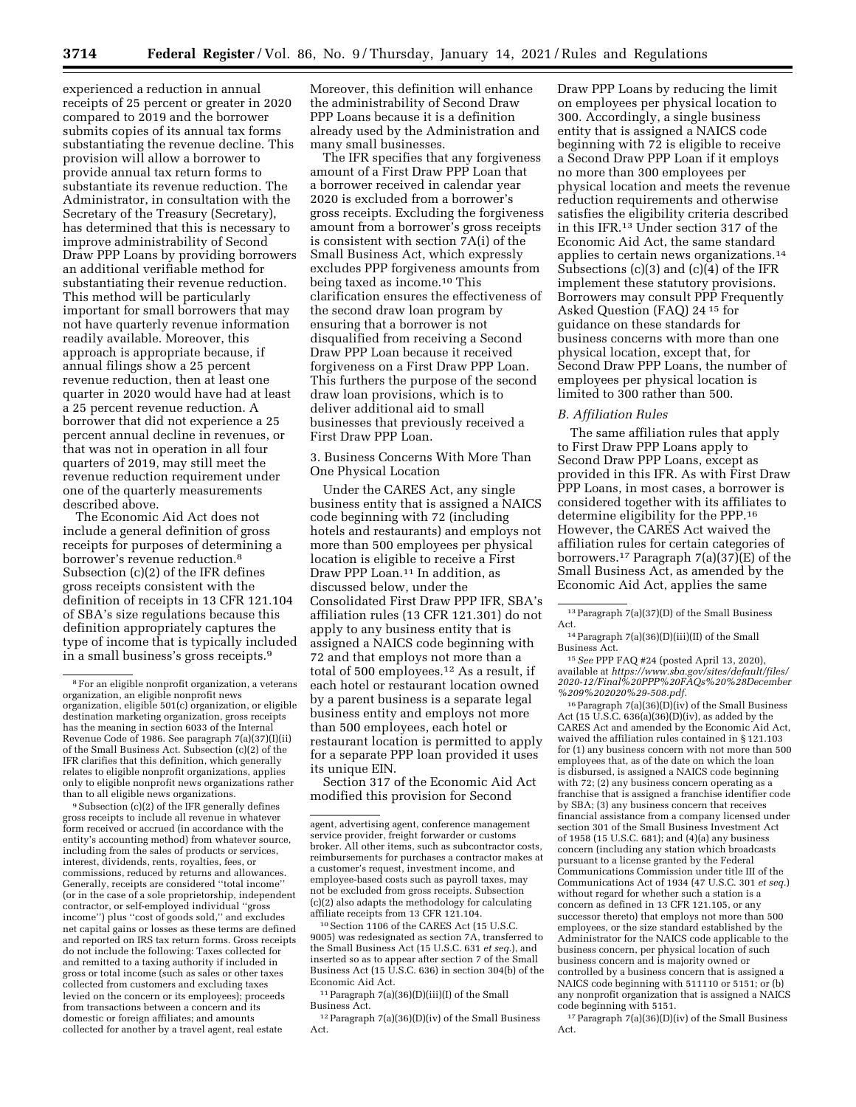experienced a reduction in annual receipts of 25 percent or greater in 2020 compared to 2019 and the borrower submits copies of its annual tax forms substantiating the revenue decline. This provision will allow a borrower to provide annual tax return forms to substantiate its revenue reduction. The Administrator, in consultation with the Secretary of the Treasury (Secretary), has determined that this is necessary to improve administrability of Second Draw PPP Loans by providing borrowers an additional verifiable method for substantiating their revenue reduction. This method will be particularly important for small borrowers that may not have quarterly revenue information readily available. Moreover, this approach is appropriate because, if annual filings show a 25 percent revenue reduction, then at least one quarter in 2020 would have had at least a 25 percent revenue reduction. A borrower that did not experience a 25 percent annual decline in revenues, or that was not in operation in all four quarters of 2019, may still meet the revenue reduction requirement under one of the quarterly measurements described above.

The Economic Aid Act does not include a general definition of gross receipts for purposes of determining a borrower's revenue reduction.8 Subsection (c)(2) of the IFR defines gross receipts consistent with the definition of receipts in 13 CFR 121.104 of SBA's size regulations because this definition appropriately captures the type of income that is typically included in a small business's gross receipts.9

9Subsection (c)(2) of the IFR generally defines gross receipts to include all revenue in whatever form received or accrued (in accordance with the entity's accounting method) from whatever source, including from the sales of products or services, interest, dividends, rents, royalties, fees, or commissions, reduced by returns and allowances. Generally, receipts are considered ''total income'' (or in the case of a sole proprietorship, independent contractor, or self-employed individual ''gross income'') plus ''cost of goods sold,'' and excludes net capital gains or losses as these terms are defined and reported on IRS tax return forms. Gross receipts do not include the following: Taxes collected for and remitted to a taxing authority if included in gross or total income (such as sales or other taxes collected from customers and excluding taxes levied on the concern or its employees); proceeds from transactions between a concern and its domestic or foreign affiliates; and amounts collected for another by a travel agent, real estate

Moreover, this definition will enhance the administrability of Second Draw PPP Loans because it is a definition already used by the Administration and many small businesses.

The IFR specifies that any forgiveness amount of a First Draw PPP Loan that a borrower received in calendar year 2020 is excluded from a borrower's gross receipts. Excluding the forgiveness amount from a borrower's gross receipts is consistent with section 7A(i) of the Small Business Act, which expressly excludes PPP forgiveness amounts from being taxed as income.10 This clarification ensures the effectiveness of the second draw loan program by ensuring that a borrower is not disqualified from receiving a Second Draw PPP Loan because it received forgiveness on a First Draw PPP Loan. This furthers the purpose of the second draw loan provisions, which is to deliver additional aid to small businesses that previously received a First Draw PPP Loan.

3. Business Concerns With More Than One Physical Location

Under the CARES Act, any single business entity that is assigned a NAICS code beginning with 72 (including hotels and restaurants) and employs not more than 500 employees per physical location is eligible to receive a First Draw PPP Loan.11 In addition, as discussed below, under the Consolidated First Draw PPP IFR, SBA's affiliation rules (13 CFR 121.301) do not apply to any business entity that is assigned a NAICS code beginning with 72 and that employs not more than a total of 500 employees.12 As a result, if each hotel or restaurant location owned by a parent business is a separate legal business entity and employs not more than 500 employees, each hotel or restaurant location is permitted to apply for a separate PPP loan provided it uses its unique EIN.

Section 317 of the Economic Aid Act modified this provision for Second

10Section 1106 of the CARES Act (15 U.S.C. 9005) was redesignated as section 7A, transferred to the Small Business Act (15 U.S.C. 631 *et seq.*), and inserted so as to appear after section 7 of the Small Business Act (15 U.S.C. 636) in section 304(b) of the Economic Aid Act.

 $^{11}\rm{Paragraph}$ 7(a)(36)(D)(iii)(I) of the Small Business Act.

 $12$  Paragraph  $7(a)(36)(D)(iv)$  of the Small Business Act.

Draw PPP Loans by reducing the limit on employees per physical location to 300. Accordingly, a single business entity that is assigned a NAICS code beginning with 72 is eligible to receive a Second Draw PPP Loan if it employs no more than 300 employees per physical location and meets the revenue reduction requirements and otherwise satisfies the eligibility criteria described in this IFR.13 Under section 317 of the Economic Aid Act, the same standard applies to certain news organizations.14 Subsections (c)(3) and (c)(4) of the IFR implement these statutory provisions. Borrowers may consult PPP Frequently Asked Question (FAQ) 24 15 for guidance on these standards for business concerns with more than one physical location, except that, for Second Draw PPP Loans, the number of employees per physical location is limited to 300 rather than 500.

# *B. Affiliation Rules*

The same affiliation rules that apply to First Draw PPP Loans apply to Second Draw PPP Loans, except as provided in this IFR. As with First Draw PPP Loans, in most cases, a borrower is considered together with its affiliates to determine eligibility for the PPP.16 However, the CARES Act waived the affiliation rules for certain categories of borrowers.17 Paragraph 7(a)(37)(E) of the Small Business Act, as amended by the Economic Aid Act, applies the same

 $^{14}\rm{Paragraph}$ 7(a)(36)(D)(iii)(II) of the Small Business Act.

15*See* PPP FAQ #24 (posted April 13, 2020), available at *[https://www.sba.gov/sites/default/files/](https://www.sba.gov/sites/default/files/2020-12/Final%20PPP%20FAQs%20%28December%209%202020%29-508.pdf) [2020-12/Final%20PPP%20FAQs%20%28December](https://www.sba.gov/sites/default/files/2020-12/Final%20PPP%20FAQs%20%28December%209%202020%29-508.pdf) [%209%202020%29-508.pdf.](https://www.sba.gov/sites/default/files/2020-12/Final%20PPP%20FAQs%20%28December%209%202020%29-508.pdf)* 

 $16$  Paragraph  $7(a)(36)(D)(iv)$  of the Small Business Act  $(15 \text{ U.S}.\overline{\text{C}}. 636(a)(36)(D)(iv)$ , as added by the CARES Act and amended by the Economic Aid Act, waived the affiliation rules contained in § 121.103 for (1) any business concern with not more than 500 employees that, as of the date on which the loan is disbursed, is assigned a NAICS code beginning with 72; (2) any business concern operating as a franchise that is assigned a franchise identifier code by SBA; (3) any business concern that receives financial assistance from a company licensed under section 301 of the Small Business Investment Act of 1958 (15 U.S.C. 681); and (4)(a) any business concern (including any station which broadcasts pursuant to a license granted by the Federal Communications Commission under title III of the Communications Act of 1934 (47 U.S.C. 301 *et seq.*) without regard for whether such a station is a concern as defined in 13 CFR 121.105, or any successor thereto) that employs not more than 500 employees, or the size standard established by the Administrator for the NAICS code applicable to the business concern, per physical location of such business concern and is majority owned or controlled by a business concern that is assigned a NAICS code beginning with 511110 or 5151; or (b) any nonprofit organization that is assigned a NAICS code beginning with 5151.

 $17$  Paragraph  $7(a)(36)(D)(iv)$  of the Small Business Act.

<sup>8</sup>For an eligible nonprofit organization, a veterans organization, an eligible nonprofit news organization, eligible 501(c) organization, or eligible destination marketing organization, gross receipts has the meaning in section 6033 of the Internal Revenue Code of 1986. See paragraph 7(a)(37)(I)(ii) of the Small Business Act. Subsection (c)(2) of the IFR clarifies that this definition, which generally relates to eligible nonprofit organizations, applies only to eligible nonprofit news organizations rather than to all eligible news organizations.

agent, advertising agent, conference management service provider, freight forwarder or customs broker. All other items, such as subcontractor costs, reimbursements for purchases a contractor makes at a customer's request, investment income, and employee-based costs such as payroll taxes, may not be excluded from gross receipts. Subsection (c)(2) also adapts the methodology for calculating affiliate receipts from 13 CFR 121.104.

<sup>13</sup>Paragraph 7(a)(37)(D) of the Small Business Act.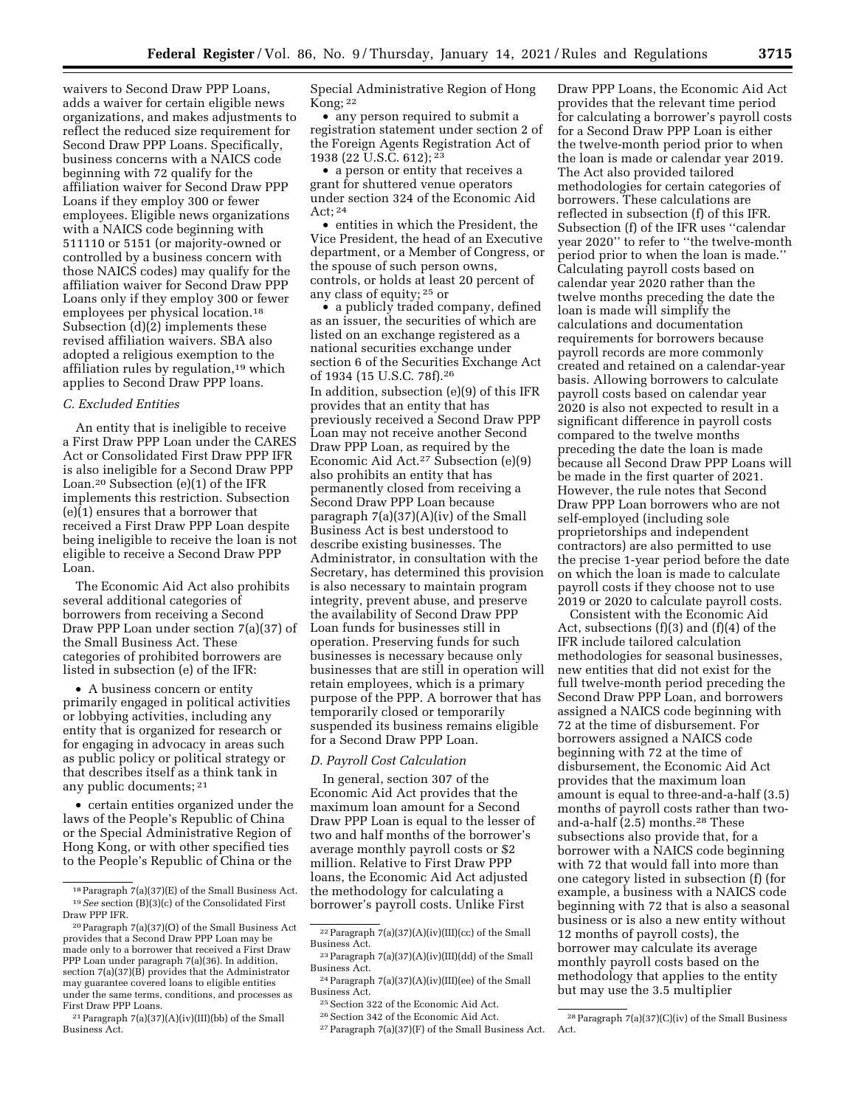waivers to Second Draw PPP Loans, adds a waiver for certain eligible news organizations, and makes adjustments to reflect the reduced size requirement for Second Draw PPP Loans. Specifically, business concerns with a NAICS code beginning with 72 qualify for the affiliation waiver for Second Draw PPP Loans if they employ 300 or fewer employees. Eligible news organizations with a NAICS code beginning with 511110 or 5151 (or majority-owned or controlled by a business concern with those NAICS codes) may qualify for the affiliation waiver for Second Draw PPP Loans only if they employ 300 or fewer employees per physical location.18 Subsection (d)(2) implements these revised affiliation waivers. SBA also adopted a religious exemption to the affiliation rules by regulation,19 which applies to Second Draw PPP loans.

### *C. Excluded Entities*

An entity that is ineligible to receive a First Draw PPP Loan under the CARES Act or Consolidated First Draw PPP IFR is also ineligible for a Second Draw PPP Loan.20 Subsection (e)(1) of the IFR implements this restriction. Subsection (e)(1) ensures that a borrower that received a First Draw PPP Loan despite being ineligible to receive the loan is not eligible to receive a Second Draw PPP Loan.

The Economic Aid Act also prohibits several additional categories of borrowers from receiving a Second Draw PPP Loan under section 7(a)(37) of the Small Business Act. These categories of prohibited borrowers are listed in subsection (e) of the IFR:

• A business concern or entity primarily engaged in political activities or lobbying activities, including any entity that is organized for research or for engaging in advocacy in areas such as public policy or political strategy or that describes itself as a think tank in any public documents; 21

• certain entities organized under the laws of the People's Republic of China or the Special Administrative Region of Hong Kong, or with other specified ties to the People's Republic of China or the Special Administrative Region of Hong Kong; 22

• any person required to submit a registration statement under section 2 of the Foreign Agents Registration Act of 1938 (22 U.S.C. 612); 23

• a person or entity that receives a grant for shuttered venue operators under section 324 of the Economic Aid Act; 24

• entities in which the President, the Vice President, the head of an Executive department, or a Member of Congress, or the spouse of such person owns, controls, or holds at least 20 percent of any class of equity; 25 or

• a publicly traded company, defined as an issuer, the securities of which are listed on an exchange registered as a national securities exchange under section 6 of the Securities Exchange Act of 1934 (15 U.S.C. 78f).26 In addition, subsection (e)(9) of this IFR provides that an entity that has previously received a Second Draw PPP Loan may not receive another Second Draw PPP Loan, as required by the Economic Aid Act.27 Subsection (e)(9) also prohibits an entity that has permanently closed from receiving a Second Draw PPP Loan because paragraph 7(a)(37)(A)(iv) of the Small Business Act is best understood to describe existing businesses. The Administrator, in consultation with the Secretary, has determined this provision is also necessary to maintain program integrity, prevent abuse, and preserve the availability of Second Draw PPP Loan funds for businesses still in operation. Preserving funds for such businesses is necessary because only businesses that are still in operation will retain employees, which is a primary purpose of the PPP. A borrower that has temporarily closed or temporarily suspended its business remains eligible for a Second Draw PPP Loan.

## *D. Payroll Cost Calculation*

In general, section 307 of the Economic Aid Act provides that the maximum loan amount for a Second Draw PPP Loan is equal to the lesser of two and half months of the borrower's average monthly payroll costs or \$2 million. Relative to First Draw PPP loans, the Economic Aid Act adjusted the methodology for calculating a borrower's payroll costs. Unlike First

Draw PPP Loans, the Economic Aid Act provides that the relevant time period for calculating a borrower's payroll costs for a Second Draw PPP Loan is either the twelve-month period prior to when the loan is made or calendar year 2019. The Act also provided tailored methodologies for certain categories of borrowers. These calculations are reflected in subsection (f) of this IFR. Subsection (f) of the IFR uses ''calendar year 2020'' to refer to ''the twelve-month period prior to when the loan is made.'' Calculating payroll costs based on calendar year 2020 rather than the twelve months preceding the date the loan is made will simplify the calculations and documentation requirements for borrowers because payroll records are more commonly created and retained on a calendar-year basis. Allowing borrowers to calculate payroll costs based on calendar year 2020 is also not expected to result in a significant difference in payroll costs compared to the twelve months preceding the date the loan is made because all Second Draw PPP Loans will be made in the first quarter of 2021. However, the rule notes that Second Draw PPP Loan borrowers who are not self-employed (including sole proprietorships and independent contractors) are also permitted to use the precise 1-year period before the date on which the loan is made to calculate payroll costs if they choose not to use 2019 or 2020 to calculate payroll costs.

Consistent with the Economic Aid Act, subsections (f)(3) and (f)(4) of the IFR include tailored calculation methodologies for seasonal businesses, new entities that did not exist for the full twelve-month period preceding the Second Draw PPP Loan, and borrowers assigned a NAICS code beginning with 72 at the time of disbursement. For borrowers assigned a NAICS code beginning with 72 at the time of disbursement, the Economic Aid Act provides that the maximum loan amount is equal to three-and-a-half (3.5) months of payroll costs rather than twoand-a-half (2.5) months.28 These subsections also provide that, for a borrower with a NAICS code beginning with 72 that would fall into more than one category listed in subsection (f) (for example, a business with a NAICS code beginning with 72 that is also a seasonal business or is also a new entity without 12 months of payroll costs), the borrower may calculate its average monthly payroll costs based on the methodology that applies to the entity but may use the 3.5 multiplier

<sup>18</sup>Paragraph 7(a)(37)(E) of the Small Business Act. 19*See* section (B)(3)(c) of the Consolidated First Draw PPP IFR.

<sup>20</sup>Paragraph 7(a)(37)(O) of the Small Business Act provides that a Second Draw PPP Loan may be made only to a borrower that received a First Draw PPP Loan under paragraph 7(a)(36). In addition, section 7(a)(37)(B) provides that the Administrator may guarantee covered loans to eligible entities under the same terms, conditions, and processes as First Draw PPP Loans.

 $21$  Paragraph  $7(a)(37)(A)(iv)(III)(bb)$  of the Small Business Act.

<sup>22</sup>Paragraph 7(a)(37)(A)(iv)(III)(cc) of the Small Business Act.

<sup>23</sup>Paragraph 7(a)(37)(A)(iv)(III)(dd) of the Small Business Act.

 $^{24}\rm{Paragraph}$ 7(a)(37)(A)(iv)(III)(ee) of the Small Business Act.

<sup>25</sup>Section 322 of the Economic Aid Act.

<sup>26</sup>Section 342 of the Economic Aid Act.

<sup>27</sup>Paragraph 7(a)(37)(F) of the Small Business Act.

<sup>28</sup>Paragraph 7(a)(37)(C)(iv) of the Small Business Act.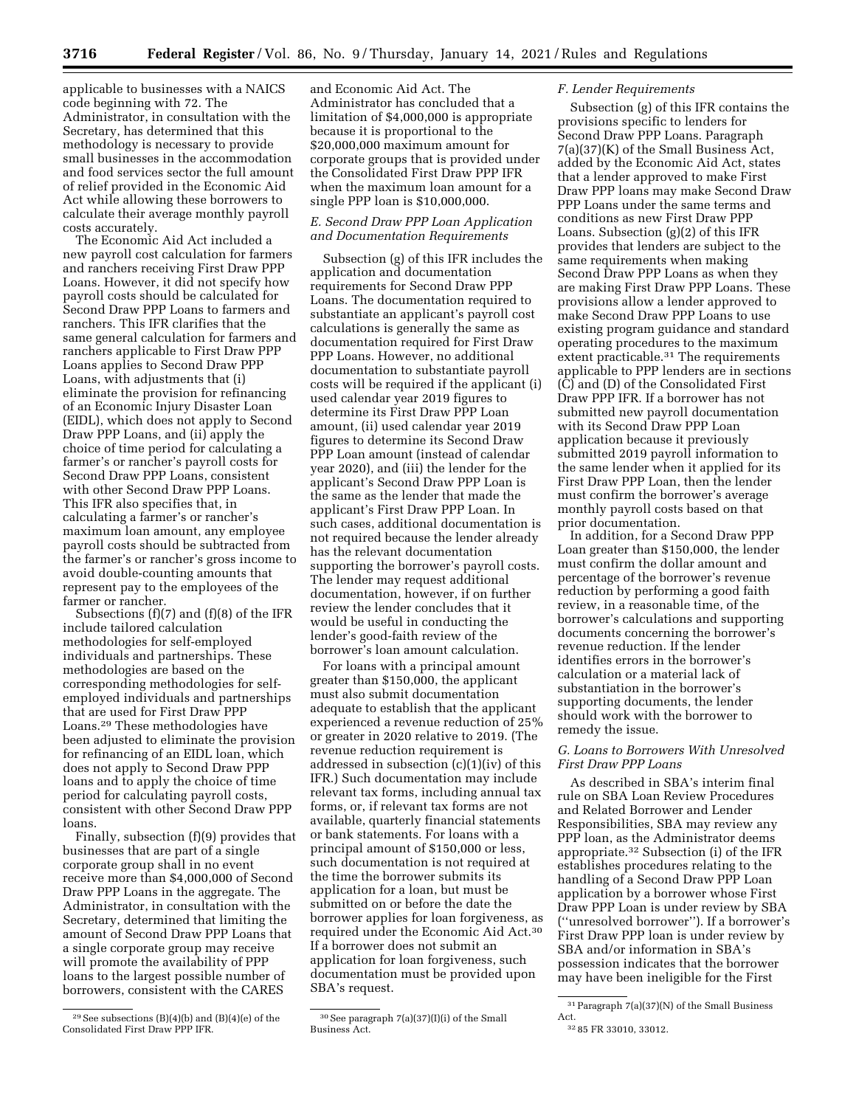applicable to businesses with a NAICS code beginning with 72. The Administrator, in consultation with the Secretary, has determined that this methodology is necessary to provide small businesses in the accommodation and food services sector the full amount of relief provided in the Economic Aid Act while allowing these borrowers to calculate their average monthly payroll costs accurately.

The Economic Aid Act included a new payroll cost calculation for farmers and ranchers receiving First Draw PPP Loans. However, it did not specify how payroll costs should be calculated for Second Draw PPP Loans to farmers and ranchers. This IFR clarifies that the same general calculation for farmers and ranchers applicable to First Draw PPP Loans applies to Second Draw PPP Loans, with adjustments that (i) eliminate the provision for refinancing of an Economic Injury Disaster Loan (EIDL), which does not apply to Second Draw PPP Loans, and (ii) apply the choice of time period for calculating a farmer's or rancher's payroll costs for Second Draw PPP Loans, consistent with other Second Draw PPP Loans. This IFR also specifies that, in calculating a farmer's or rancher's maximum loan amount, any employee payroll costs should be subtracted from the farmer's or rancher's gross income to avoid double-counting amounts that represent pay to the employees of the farmer or rancher.

Subsections (f)(7) and (f)(8) of the IFR include tailored calculation methodologies for self-employed individuals and partnerships. These methodologies are based on the corresponding methodologies for selfemployed individuals and partnerships that are used for First Draw PPP Loans.29 These methodologies have been adjusted to eliminate the provision for refinancing of an EIDL loan, which does not apply to Second Draw PPP loans and to apply the choice of time period for calculating payroll costs, consistent with other Second Draw PPP loans.

Finally, subsection (f)(9) provides that businesses that are part of a single corporate group shall in no event receive more than \$4,000,000 of Second Draw PPP Loans in the aggregate. The Administrator, in consultation with the Secretary, determined that limiting the amount of Second Draw PPP Loans that a single corporate group may receive will promote the availability of PPP loans to the largest possible number of borrowers, consistent with the CARES

and Economic Aid Act. The Administrator has concluded that a limitation of \$4,000,000 is appropriate because it is proportional to the \$20,000,000 maximum amount for corporate groups that is provided under the Consolidated First Draw PPP IFR when the maximum loan amount for a single PPP loan is \$10,000,000.

# *E. Second Draw PPP Loan Application and Documentation Requirements*

Subsection (g) of this IFR includes the application and documentation requirements for Second Draw PPP Loans. The documentation required to substantiate an applicant's payroll cost calculations is generally the same as documentation required for First Draw PPP Loans. However, no additional documentation to substantiate payroll costs will be required if the applicant (i) used calendar year 2019 figures to determine its First Draw PPP Loan amount, (ii) used calendar year 2019 figures to determine its Second Draw PPP Loan amount (instead of calendar year 2020), and (iii) the lender for the applicant's Second Draw PPP Loan is the same as the lender that made the applicant's First Draw PPP Loan. In such cases, additional documentation is not required because the lender already has the relevant documentation supporting the borrower's payroll costs. The lender may request additional documentation, however, if on further review the lender concludes that it would be useful in conducting the lender's good-faith review of the borrower's loan amount calculation.

For loans with a principal amount greater than \$150,000, the applicant must also submit documentation adequate to establish that the applicant experienced a revenue reduction of 25% or greater in 2020 relative to 2019. (The revenue reduction requirement is addressed in subsection (c)(1)(iv) of this IFR.) Such documentation may include relevant tax forms, including annual tax forms, or, if relevant tax forms are not available, quarterly financial statements or bank statements. For loans with a principal amount of \$150,000 or less, such documentation is not required at the time the borrower submits its application for a loan, but must be submitted on or before the date the borrower applies for loan forgiveness, as required under the Economic Aid Act.30 If a borrower does not submit an application for loan forgiveness, such documentation must be provided upon SBA's request.

### *F. Lender Requirements*

Subsection (g) of this IFR contains the provisions specific to lenders for Second Draw PPP Loans. Paragraph 7(a)(37)(K) of the Small Business Act, added by the Economic Aid Act, states that a lender approved to make First Draw PPP loans may make Second Draw PPP Loans under the same terms and conditions as new First Draw PPP Loans. Subsection (g)(2) of this IFR provides that lenders are subject to the same requirements when making Second Draw PPP Loans as when they are making First Draw PPP Loans. These provisions allow a lender approved to make Second Draw PPP Loans to use existing program guidance and standard operating procedures to the maximum extent practicable.<sup>31</sup> The requirements applicable to PPP lenders are in sections (C) and (D) of the Consolidated First Draw PPP IFR. If a borrower has not submitted new payroll documentation with its Second Draw PPP Loan application because it previously submitted 2019 payroll information to the same lender when it applied for its First Draw PPP Loan, then the lender must confirm the borrower's average monthly payroll costs based on that prior documentation.

In addition, for a Second Draw PPP Loan greater than \$150,000, the lender must confirm the dollar amount and percentage of the borrower's revenue reduction by performing a good faith review, in a reasonable time, of the borrower's calculations and supporting documents concerning the borrower's revenue reduction. If the lender identifies errors in the borrower's calculation or a material lack of substantiation in the borrower's supporting documents, the lender should work with the borrower to remedy the issue.

# *G. Loans to Borrowers With Unresolved First Draw PPP Loans*

As described in SBA's interim final rule on SBA Loan Review Procedures and Related Borrower and Lender Responsibilities, SBA may review any PPP loan, as the Administrator deems appropriate.32 Subsection (i) of the IFR establishes procedures relating to the handling of a Second Draw PPP Loan application by a borrower whose First Draw PPP Loan is under review by SBA (''unresolved borrower''). If a borrower's First Draw PPP loan is under review by SBA and/or information in SBA's possession indicates that the borrower may have been ineligible for the First

 $29$  See subsections (B)(4)(b) and (B)(4)(e) of the Consolidated First Draw PPP IFR.

<sup>30</sup>See paragraph 7(a)(37)(I)(i) of the Small Business Act.

 $\overline{{}^{31}\text{Paragraph}}$  7(a)(37)(N) of the Small Business Act.

<sup>32</sup> 85 FR 33010, 33012.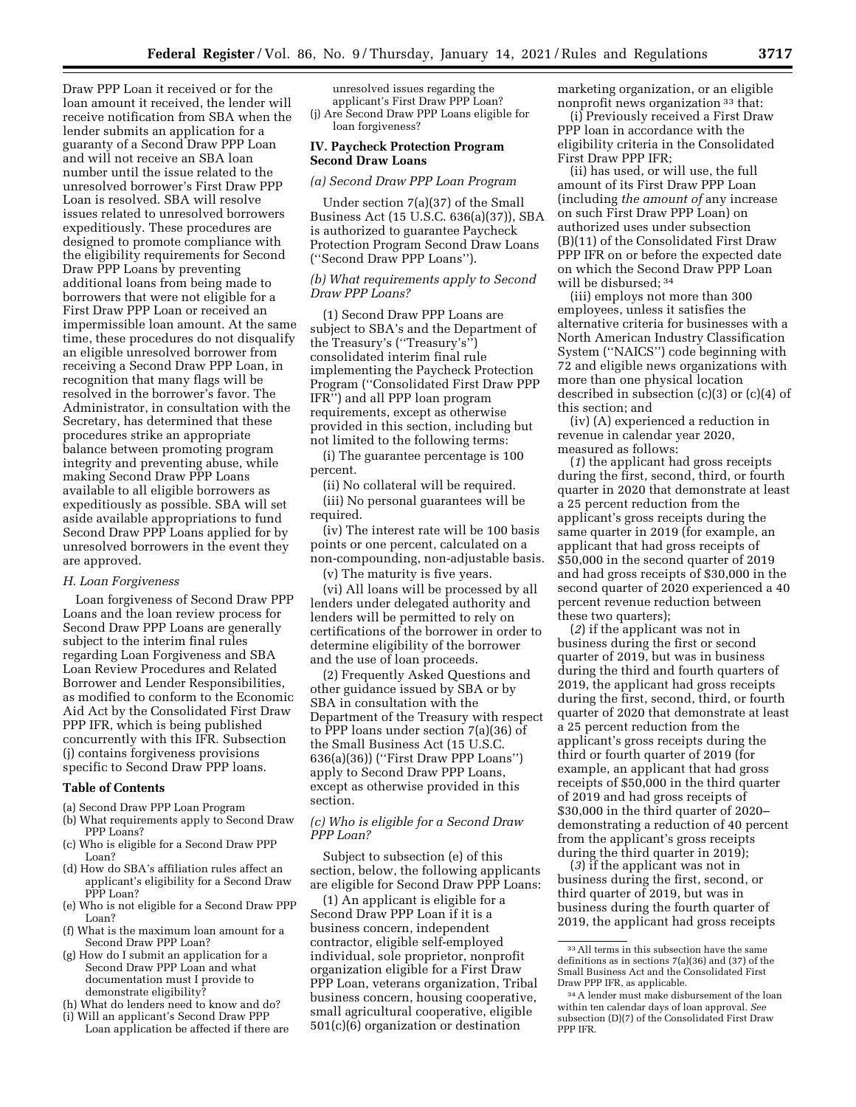Draw PPP Loan it received or for the loan amount it received, the lender will receive notification from SBA when the lender submits an application for a guaranty of a Second Draw PPP Loan and will not receive an SBA loan number until the issue related to the unresolved borrower's First Draw PPP Loan is resolved. SBA will resolve issues related to unresolved borrowers expeditiously. These procedures are designed to promote compliance with the eligibility requirements for Second Draw PPP Loans by preventing additional loans from being made to borrowers that were not eligible for a First Draw PPP Loan or received an impermissible loan amount. At the same time, these procedures do not disqualify an eligible unresolved borrower from receiving a Second Draw PPP Loan, in recognition that many flags will be resolved in the borrower's favor. The Administrator, in consultation with the Secretary, has determined that these procedures strike an appropriate balance between promoting program integrity and preventing abuse, while making Second Draw PPP Loans available to all eligible borrowers as expeditiously as possible. SBA will set aside available appropriations to fund Second Draw PPP Loans applied for by unresolved borrowers in the event they are approved.

#### *H. Loan Forgiveness*

Loan forgiveness of Second Draw PPP Loans and the loan review process for Second Draw PPP Loans are generally subject to the interim final rules regarding Loan Forgiveness and SBA Loan Review Procedures and Related Borrower and Lender Responsibilities, as modified to conform to the Economic Aid Act by the Consolidated First Draw PPP IFR, which is being published concurrently with this IFR. Subsection (j) contains forgiveness provisions specific to Second Draw PPP loans.

#### **Table of Contents**

- (a) Second Draw PPP Loan Program
- (b) What requirements apply to Second Draw PPP Loans?
- (c) Who is eligible for a Second Draw PPP Loan?
- (d) How do SBA's affiliation rules affect an applicant's eligibility for a Second Draw PPP Loan?
- (e) Who is not eligible for a Second Draw PPP Loan?
- (f) What is the maximum loan amount for a Second Draw PPP Loan?
- (g) How do I submit an application for a Second Draw PPP Loan and what documentation must I provide to demonstrate eligibility?
- (h) What do lenders need to know and do?
- (i) Will an applicant's Second Draw PPP Loan application be affected if there are

unresolved issues regarding the applicant's First Draw PPP Loan? (j) Are Second Draw PPP Loans eligible for loan forgiveness?

### **IV. Paycheck Protection Program Second Draw Loans**

### *(a) Second Draw PPP Loan Program*

Under section 7(a)(37) of the Small Business Act (15 U.S.C. 636(a)(37)), SBA is authorized to guarantee Paycheck Protection Program Second Draw Loans (''Second Draw PPP Loans'').

### *(b) What requirements apply to Second Draw PPP Loans?*

(1) Second Draw PPP Loans are subject to SBA's and the Department of the Treasury's (''Treasury's'') consolidated interim final rule implementing the Paycheck Protection Program (''Consolidated First Draw PPP IFR'') and all PPP loan program requirements, except as otherwise provided in this section, including but not limited to the following terms:

(i) The guarantee percentage is 100 percent.

(ii) No collateral will be required. (iii) No personal guarantees will be required.

(iv) The interest rate will be 100 basis points or one percent, calculated on a non-compounding, non-adjustable basis.

(v) The maturity is five years.

(vi) All loans will be processed by all lenders under delegated authority and lenders will be permitted to rely on certifications of the borrower in order to determine eligibility of the borrower and the use of loan proceeds.

(2) Frequently Asked Questions and other guidance issued by SBA or by SBA in consultation with the Department of the Treasury with respect to PPP loans under section 7(a)(36) of the Small Business Act (15 U.S.C. 636(a)(36)) (''First Draw PPP Loans'') apply to Second Draw PPP Loans, except as otherwise provided in this section.

# *(c) Who is eligible for a Second Draw PPP Loan?*

Subject to subsection (e) of this section, below, the following applicants are eligible for Second Draw PPP Loans:

(1) An applicant is eligible for a Second Draw PPP Loan if it is a business concern, independent contractor, eligible self-employed individual, sole proprietor, nonprofit organization eligible for a First Draw PPP Loan, veterans organization, Tribal business concern, housing cooperative, small agricultural cooperative, eligible 501(c)(6) organization or destination

marketing organization, or an eligible nonprofit news organization 33 that:

(i) Previously received a First Draw PPP loan in accordance with the eligibility criteria in the Consolidated First Draw PPP IFR;

(ii) has used, or will use, the full amount of its First Draw PPP Loan (including *the amount of* any increase on such First Draw PPP Loan) on authorized uses under subsection (B)(11) of the Consolidated First Draw PPP IFR on or before the expected date on which the Second Draw PPP Loan will be disbursed; 34

(iii) employs not more than 300 employees, unless it satisfies the alternative criteria for businesses with a North American Industry Classification System (''NAICS'') code beginning with 72 and eligible news organizations with more than one physical location described in subsection (c)(3) or (c)(4) of this section; and

(iv) (A) experienced a reduction in revenue in calendar year 2020, measured as follows:

(*1*) the applicant had gross receipts during the first, second, third, or fourth quarter in 2020 that demonstrate at least a 25 percent reduction from the applicant's gross receipts during the same quarter in 2019 (for example, an applicant that had gross receipts of \$50,000 in the second quarter of 2019 and had gross receipts of \$30,000 in the second quarter of 2020 experienced a 40 percent revenue reduction between these two quarters);

(*2*) if the applicant was not in business during the first or second quarter of 2019, but was in business during the third and fourth quarters of 2019, the applicant had gross receipts during the first, second, third, or fourth quarter of 2020 that demonstrate at least a 25 percent reduction from the applicant's gross receipts during the third or fourth quarter of 2019 (for example, an applicant that had gross receipts of \$50,000 in the third quarter of 2019 and had gross receipts of \$30,000 in the third quarter of 2020– demonstrating a reduction of 40 percent from the applicant's gross receipts during the third quarter in 2019);

(*3*) if the applicant was not in business during the first, second, or third quarter of 2019, but was in business during the fourth quarter of 2019, the applicant had gross receipts

<sup>33</sup>All terms in this subsection have the same definitions as in sections 7(a)(36) and (37) of the Small Business Act and the Consolidated First Draw PPP IFR, as applicable.

<sup>34</sup>A lender must make disbursement of the loan within ten calendar days of loan approval. *See*  subsection (D)(7) of the Consolidated First Draw PPP IFR.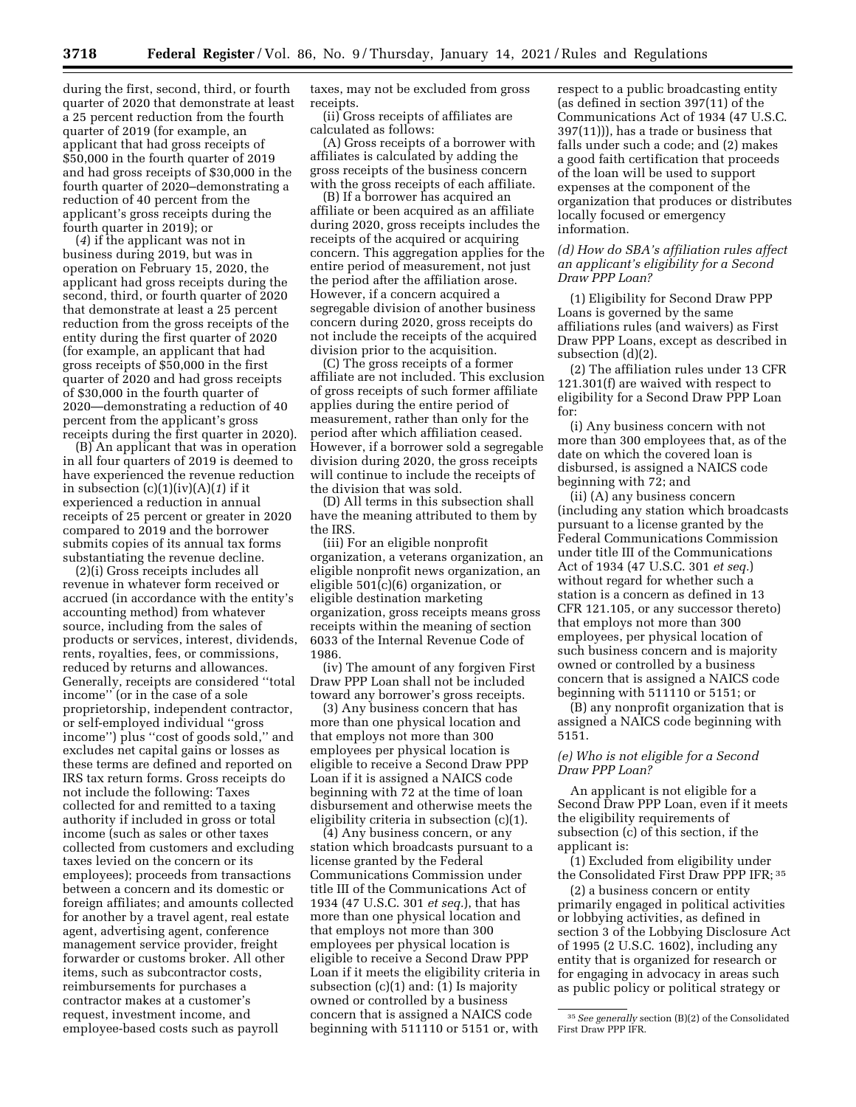during the first, second, third, or fourth quarter of 2020 that demonstrate at least a 25 percent reduction from the fourth quarter of 2019 (for example, an applicant that had gross receipts of \$50,000 in the fourth quarter of 2019 and had gross receipts of \$30,000 in the fourth quarter of 2020–demonstrating a reduction of 40 percent from the applicant's gross receipts during the fourth quarter in 2019); or

(*4*) if the applicant was not in business during 2019, but was in operation on February 15, 2020, the applicant had gross receipts during the second, third, or fourth quarter of 2020 that demonstrate at least a 25 percent reduction from the gross receipts of the entity during the first quarter of 2020 (for example, an applicant that had gross receipts of \$50,000 in the first quarter of 2020 and had gross receipts of \$30,000 in the fourth quarter of 2020—demonstrating a reduction of 40 percent from the applicant's gross receipts during the first quarter in 2020).

(B) An applicant that was in operation in all four quarters of 2019 is deemed to have experienced the revenue reduction in subsection (c)(1)(iv)(A)(*1*) if it experienced a reduction in annual receipts of 25 percent or greater in 2020 compared to 2019 and the borrower submits copies of its annual tax forms substantiating the revenue decline.

(2)(i) Gross receipts includes all revenue in whatever form received or accrued (in accordance with the entity's accounting method) from whatever source, including from the sales of products or services, interest, dividends, rents, royalties, fees, or commissions, reduced by returns and allowances. Generally, receipts are considered ''total income'' (or in the case of a sole proprietorship, independent contractor, or self-employed individual ''gross income'') plus ''cost of goods sold,'' and excludes net capital gains or losses as these terms are defined and reported on IRS tax return forms. Gross receipts do not include the following: Taxes collected for and remitted to a taxing authority if included in gross or total income (such as sales or other taxes collected from customers and excluding taxes levied on the concern or its employees); proceeds from transactions between a concern and its domestic or foreign affiliates; and amounts collected for another by a travel agent, real estate agent, advertising agent, conference management service provider, freight forwarder or customs broker. All other items, such as subcontractor costs, reimbursements for purchases a contractor makes at a customer's request, investment income, and employee-based costs such as payroll

taxes, may not be excluded from gross receipts.

(ii) Gross receipts of affiliates are calculated as follows:

(A) Gross receipts of a borrower with affiliates is calculated by adding the gross receipts of the business concern with the gross receipts of each affiliate.

(B) If a borrower has acquired an affiliate or been acquired as an affiliate during 2020, gross receipts includes the receipts of the acquired or acquiring concern. This aggregation applies for the entire period of measurement, not just the period after the affiliation arose. However, if a concern acquired a segregable division of another business concern during 2020, gross receipts do not include the receipts of the acquired division prior to the acquisition.

(C) The gross receipts of a former affiliate are not included. This exclusion of gross receipts of such former affiliate applies during the entire period of measurement, rather than only for the period after which affiliation ceased. However, if a borrower sold a segregable division during 2020, the gross receipts will continue to include the receipts of the division that was sold.

(D) All terms in this subsection shall have the meaning attributed to them by the IRS.

(iii) For an eligible nonprofit organization, a veterans organization, an eligible nonprofit news organization, an eligible 501(c)(6) organization, or eligible destination marketing organization, gross receipts means gross receipts within the meaning of section 6033 of the Internal Revenue Code of 1986.

(iv) The amount of any forgiven First Draw PPP Loan shall not be included toward any borrower's gross receipts.

(3) Any business concern that has more than one physical location and that employs not more than 300 employees per physical location is eligible to receive a Second Draw PPP Loan if it is assigned a NAICS code beginning with 72 at the time of loan disbursement and otherwise meets the eligibility criteria in subsection (c)(1).

(4) Any business concern, or any station which broadcasts pursuant to a license granted by the Federal Communications Commission under title III of the Communications Act of 1934 (47 U.S.C. 301 *et seq.*), that has more than one physical location and that employs not more than 300 employees per physical location is eligible to receive a Second Draw PPP Loan if it meets the eligibility criteria in subsection (c)(1) and: (1) Is majority owned or controlled by a business concern that is assigned a NAICS code beginning with 511110 or 5151 or, with

respect to a public broadcasting entity (as defined in section 397(11) of the Communications Act of 1934 (47 U.S.C. 397(11))), has a trade or business that falls under such a code; and (2) makes a good faith certification that proceeds of the loan will be used to support expenses at the component of the organization that produces or distributes locally focused or emergency information.

## *(d) How do SBA's affiliation rules affect an applicant's eligibility for a Second Draw PPP Loan?*

(1) Eligibility for Second Draw PPP Loans is governed by the same affiliations rules (and waivers) as First Draw PPP Loans, except as described in subsection (d)(2).

(2) The affiliation rules under 13 CFR 121.301(f) are waived with respect to eligibility for a Second Draw PPP Loan for:

(i) Any business concern with not more than 300 employees that, as of the date on which the covered loan is disbursed, is assigned a NAICS code beginning with 72; and

(ii) (A) any business concern (including any station which broadcasts pursuant to a license granted by the Federal Communications Commission under title III of the Communications Act of 1934 (47 U.S.C. 301 *et seq.*) without regard for whether such a station is a concern as defined in 13 CFR 121.105, or any successor thereto) that employs not more than 300 employees, per physical location of such business concern and is majority owned or controlled by a business concern that is assigned a NAICS code beginning with 511110 or 5151; or

(B) any nonprofit organization that is assigned a NAICS code beginning with 5151.

# *(e) Who is not eligible for a Second Draw PPP Loan?*

An applicant is not eligible for a Second Draw PPP Loan, even if it meets the eligibility requirements of subsection (c) of this section, if the applicant is:

(1) Excluded from eligibility under the Consolidated First Draw PPP IFR; 35

(2) a business concern or entity primarily engaged in political activities or lobbying activities, as defined in section 3 of the Lobbying Disclosure Act of 1995 (2 U.S.C. 1602), including any entity that is organized for research or for engaging in advocacy in areas such as public policy or political strategy or

<sup>35</sup>*See generally* section (B)(2) of the Consolidated First Draw PPP IFR.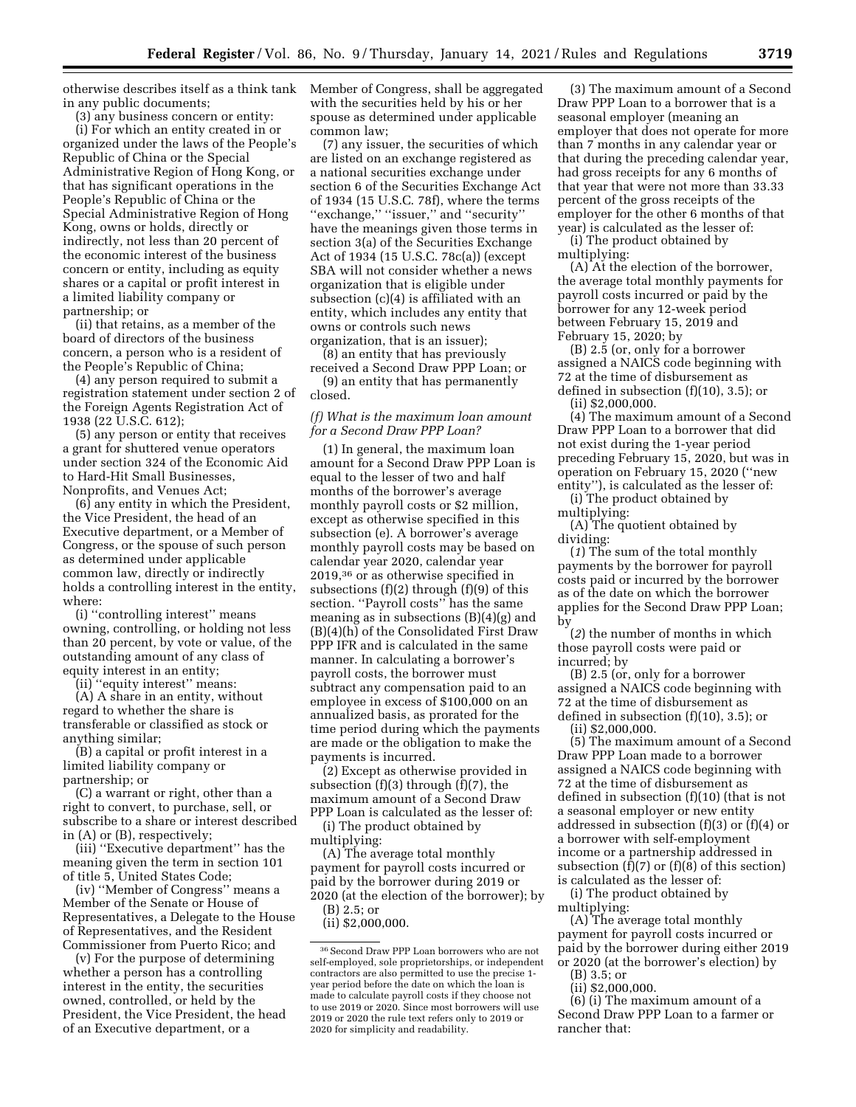otherwise describes itself as a think tank in any public documents;

(3) any business concern or entity:

(i) For which an entity created in or organized under the laws of the People's Republic of China or the Special Administrative Region of Hong Kong, or that has significant operations in the People's Republic of China or the Special Administrative Region of Hong Kong, owns or holds, directly or indirectly, not less than 20 percent of the economic interest of the business concern or entity, including as equity shares or a capital or profit interest in a limited liability company or partnership; or

(ii) that retains, as a member of the board of directors of the business concern, a person who is a resident of the People's Republic of China;

(4) any person required to submit a registration statement under section 2 of the Foreign Agents Registration Act of 1938 (22 U.S.C. 612);

(5) any person or entity that receives a grant for shuttered venue operators under section 324 of the Economic Aid to Hard-Hit Small Businesses, Nonprofits, and Venues Act;

(6) any entity in which the President, the Vice President, the head of an Executive department, or a Member of Congress, or the spouse of such person as determined under applicable common law, directly or indirectly holds a controlling interest in the entity, where:

(i) ''controlling interest'' means owning, controlling, or holding not less than 20 percent, by vote or value, of the outstanding amount of any class of equity interest in an entity;

(ii) ''equity interest'' means:

(A) A share in an entity, without regard to whether the share is transferable or classified as stock or anything similar;

(B) a capital or profit interest in a limited liability company or partnership; or

(C) a warrant or right, other than a right to convert, to purchase, sell, or subscribe to a share or interest described in (A) or (B), respectively;

(iii) ''Executive department'' has the meaning given the term in section 101 of title 5, United States Code;

(iv) ''Member of Congress'' means a Member of the Senate or House of Representatives, a Delegate to the House of Representatives, and the Resident Commissioner from Puerto Rico; and

(v) For the purpose of determining whether a person has a controlling interest in the entity, the securities owned, controlled, or held by the President, the Vice President, the head of an Executive department, or a

Member of Congress, shall be aggregated with the securities held by his or her spouse as determined under applicable common law;

(7) any issuer, the securities of which are listed on an exchange registered as a national securities exchange under section 6 of the Securities Exchange Act of 1934 (15 U.S.C. 78f), where the terms "exchange," "issuer," and "security" have the meanings given those terms in section 3(a) of the Securities Exchange Act of 1934 (15 U.S.C. 78c(a)) (except SBA will not consider whether a news organization that is eligible under subsection (c)(4) is affiliated with an entity, which includes any entity that owns or controls such news organization, that is an issuer);

(8) an entity that has previously received a Second Draw PPP Loan; or

(9) an entity that has permanently closed.

*(f) What is the maximum loan amount for a Second Draw PPP Loan?* 

(1) In general, the maximum loan amount for a Second Draw PPP Loan is equal to the lesser of two and half months of the borrower's average monthly payroll costs or \$2 million, except as otherwise specified in this subsection (e). A borrower's average monthly payroll costs may be based on calendar year 2020, calendar year 2019,36 or as otherwise specified in subsections  $(f)(2)$  through  $(f)(9)$  of this section. ''Payroll costs'' has the same meaning as in subsections (B)(4)(g) and (B)(4)(h) of the Consolidated First Draw PPP IFR and is calculated in the same manner. In calculating a borrower's payroll costs, the borrower must subtract any compensation paid to an employee in excess of \$100,000 on an annualized basis, as prorated for the time period during which the payments are made or the obligation to make the payments is incurred.

(2) Except as otherwise provided in subsection (f)(3) through (f)(7), the maximum amount of a Second Draw PPP Loan is calculated as the lesser of:

(i) The product obtained by multiplying:

(A) The average total monthly payment for payroll costs incurred or paid by the borrower during 2019 or 2020 (at the election of the borrower); by

(B) 2.5; or

(ii) \$2,000,000.

(3) The maximum amount of a Second Draw PPP Loan to a borrower that is a seasonal employer (meaning an employer that does not operate for more than 7 months in any calendar year or that during the preceding calendar year, had gross receipts for any 6 months of that year that were not more than 33.33 percent of the gross receipts of the employer for the other 6 months of that year) is calculated as the lesser of:

(i) The product obtained by multiplying:

(A) At the election of the borrower, the average total monthly payments for payroll costs incurred or paid by the borrower for any 12-week period between February 15, 2019 and February 15, 2020; by

(B) 2.5 (or, only for a borrower assigned a NAICS code beginning with 72 at the time of disbursement as defined in subsection (f)(10), 3.5); or (ii) \$2,000,000.

(4) The maximum amount of a Second Draw PPP Loan to a borrower that did not exist during the 1-year period preceding February 15, 2020, but was in operation on February 15, 2020 (''new entity''), is calculated as the lesser of:

(i) The product obtained by multiplying:

(A) The quotient obtained by dividing:

(*1*) The sum of the total monthly payments by the borrower for payroll costs paid or incurred by the borrower as of the date on which the borrower applies for the Second Draw PPP Loan; by

(*2*) the number of months in which those payroll costs were paid or incurred; by

(B) 2.5 (or, only for a borrower assigned a NAICS code beginning with 72 at the time of disbursement as defined in subsection (f)(10), 3.5); or

(ii) \$2,000,000.

(5) The maximum amount of a Second Draw PPP Loan made to a borrower assigned a NAICS code beginning with 72 at the time of disbursement as defined in subsection (f)(10) (that is not a seasonal employer or new entity addressed in subsection (f)(3) or (f)(4) or a borrower with self-employment income or a partnership addressed in subsection  $(f)(7)$  or  $(f)(8)$  of this section) is calculated as the lesser of:

(i) The product obtained by multiplying:

(A) The average total monthly payment for payroll costs incurred or paid by the borrower during either 2019 or 2020 (at the borrower's election) by

(B) 3.5; or

(ii) \$2,000,000.

(6) (i) The maximum amount of a Second Draw PPP Loan to a farmer or rancher that:

 $^{36}\rm{Second}$  Draw PPP Loan borrowers who are not self-employed, sole proprietorships, or independent contractors are also permitted to use the precise 1 year period before the date on which the loan is made to calculate payroll costs if they choose not to use 2019 or 2020. Since most borrowers will use 2019 or 2020 the rule text refers only to 2019 or 2020 for simplicity and readability.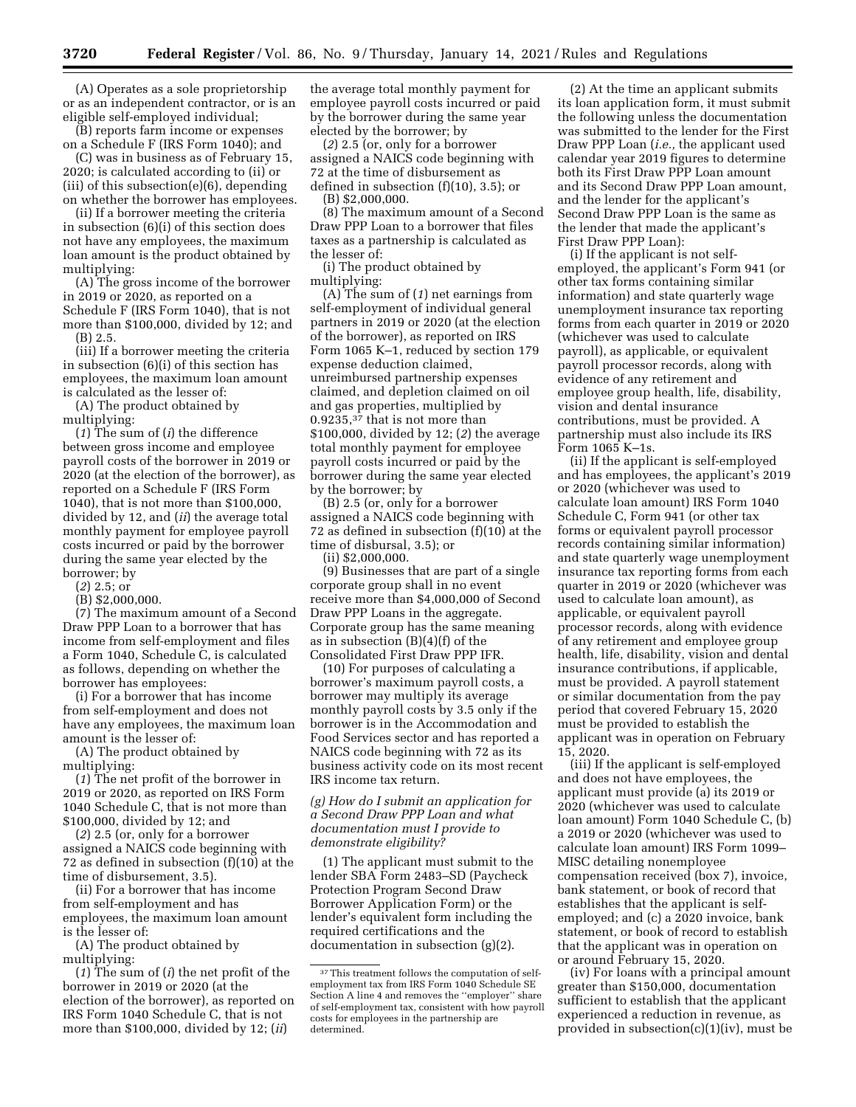(A) Operates as a sole proprietorship or as an independent contractor, or is an eligible self-employed individual;

(B) reports farm income or expenses on a Schedule F (IRS Form 1040); and

(C) was in business as of February 15, 2020; is calculated according to (ii) or (iii) of this subsection(e)(6), depending on whether the borrower has employees.

(ii) If a borrower meeting the criteria in subsection (6)(i) of this section does not have any employees, the maximum loan amount is the product obtained by multiplying:

(A) The gross income of the borrower in 2019 or 2020, as reported on a Schedule F (IRS Form 1040), that is not more than \$100,000, divided by 12; and (B) 2.5.

(iii) If a borrower meeting the criteria in subsection (6)(i) of this section has employees, the maximum loan amount is calculated as the lesser of:

(A) The product obtained by multiplying:

(*1*) The sum of (*i*) the difference between gross income and employee payroll costs of the borrower in 2019 or 2020 (at the election of the borrower), as reported on a Schedule F (IRS Form 1040), that is not more than \$100,000, divided by 12, and (*ii*) the average total monthly payment for employee payroll costs incurred or paid by the borrower during the same year elected by the borrower; by

(*2*) 2.5; or

(B) \$2,000,000.

(7) The maximum amount of a Second Draw PPP Loan to a borrower that has income from self-employment and files a Form 1040, Schedule C, is calculated as follows, depending on whether the borrower has employees:

(i) For a borrower that has income from self-employment and does not have any employees, the maximum loan amount is the lesser of:

(A) The product obtained by multiplying:

(*1*) The net profit of the borrower in 2019 or 2020, as reported on IRS Form 1040 Schedule C, that is not more than \$100,000, divided by 12; and

(*2*) 2.5 (or, only for a borrower assigned a NAICS code beginning with 72 as defined in subsection (f)(10) at the time of disbursement, 3.5).

(ii) For a borrower that has income from self-employment and has employees, the maximum loan amount is the lesser of:

(A) The product obtained by multiplying:

(*1*) The sum of (*i*) the net profit of the borrower in 2019 or 2020 (at the election of the borrower), as reported on IRS Form 1040 Schedule C, that is not more than \$100,000, divided by 12; (*ii*)

the average total monthly payment for employee payroll costs incurred or paid by the borrower during the same year elected by the borrower; by

(*2*) 2.5 (or, only for a borrower assigned a NAICS code beginning with 72 at the time of disbursement as defined in subsection (f)(10), 3.5); or (B) \$2,000,000.

(8) The maximum amount of a Second Draw PPP Loan to a borrower that files taxes as a partnership is calculated as the lesser of:

(i) The product obtained by multiplying:

(A) The sum of (*1*) net earnings from self-employment of individual general partners in 2019 or 2020 (at the election of the borrower), as reported on IRS Form 1065 K–1, reduced by section 179 expense deduction claimed, unreimbursed partnership expenses claimed, and depletion claimed on oil and gas properties, multiplied by 0.9235,37 that is not more than \$100,000, divided by 12; (*2*) the average total monthly payment for employee payroll costs incurred or paid by the borrower during the same year elected by the borrower; by

(B) 2.5 (or, only for a borrower assigned a NAICS code beginning with 72 as defined in subsection (f)(10) at the time of disbursal, 3.5); or

(ii) \$2,000,000.

(9) Businesses that are part of a single corporate group shall in no event receive more than \$4,000,000 of Second Draw PPP Loans in the aggregate. Corporate group has the same meaning as in subsection (B)(4)(f) of the Consolidated First Draw PPP IFR.

(10) For purposes of calculating a borrower's maximum payroll costs, a borrower may multiply its average monthly payroll costs by 3.5 only if the borrower is in the Accommodation and Food Services sector and has reported a NAICS code beginning with 72 as its business activity code on its most recent IRS income tax return.

# *(g) How do I submit an application for a Second Draw PPP Loan and what documentation must I provide to demonstrate eligibility?*

(1) The applicant must submit to the lender SBA Form 2483–SD (Paycheck Protection Program Second Draw Borrower Application Form) or the lender's equivalent form including the required certifications and the documentation in subsection (g)(2).

(2) At the time an applicant submits its loan application form, it must submit the following unless the documentation was submitted to the lender for the First Draw PPP Loan (*i.e.,* the applicant used calendar year 2019 figures to determine both its First Draw PPP Loan amount and its Second Draw PPP Loan amount, and the lender for the applicant's Second Draw PPP Loan is the same as the lender that made the applicant's First Draw PPP Loan):

(i) If the applicant is not selfemployed, the applicant's Form 941 (or other tax forms containing similar information) and state quarterly wage unemployment insurance tax reporting forms from each quarter in 2019 or 2020 (whichever was used to calculate payroll), as applicable, or equivalent payroll processor records, along with evidence of any retirement and employee group health, life, disability, vision and dental insurance contributions, must be provided. A partnership must also include its IRS Form 1065 K–1s.

(ii) If the applicant is self-employed and has employees, the applicant's 2019 or 2020 (whichever was used to calculate loan amount) IRS Form 1040 Schedule C, Form 941 (or other tax forms or equivalent payroll processor records containing similar information) and state quarterly wage unemployment insurance tax reporting forms from each quarter in 2019 or 2020 (whichever was used to calculate loan amount), as applicable, or equivalent payroll processor records, along with evidence of any retirement and employee group health, life, disability, vision and dental insurance contributions, if applicable, must be provided. A payroll statement or similar documentation from the pay period that covered February 15, 2020 must be provided to establish the applicant was in operation on February 15, 2020.

(iii) If the applicant is self-employed and does not have employees, the applicant must provide (a) its 2019 or 2020 (whichever was used to calculate loan amount) Form 1040 Schedule C, (b) a 2019 or 2020 (whichever was used to calculate loan amount) IRS Form 1099– MISC detailing nonemployee compensation received (box 7), invoice, bank statement, or book of record that establishes that the applicant is selfemployed; and (c) a 2020 invoice, bank statement, or book of record to establish that the applicant was in operation on or around February 15, 2020.

(iv) For loans with a principal amount greater than \$150,000, documentation sufficient to establish that the applicant experienced a reduction in revenue, as provided in subsection(c)(1)(iv), must be

<sup>&</sup>lt;sup>37</sup>This treatment follows the computation of selfemployment tax from IRS Form 1040 Schedule SE Section A line 4 and removes the ''employer'' share of self-employment tax, consistent with how payroll costs for employees in the partnership are determined.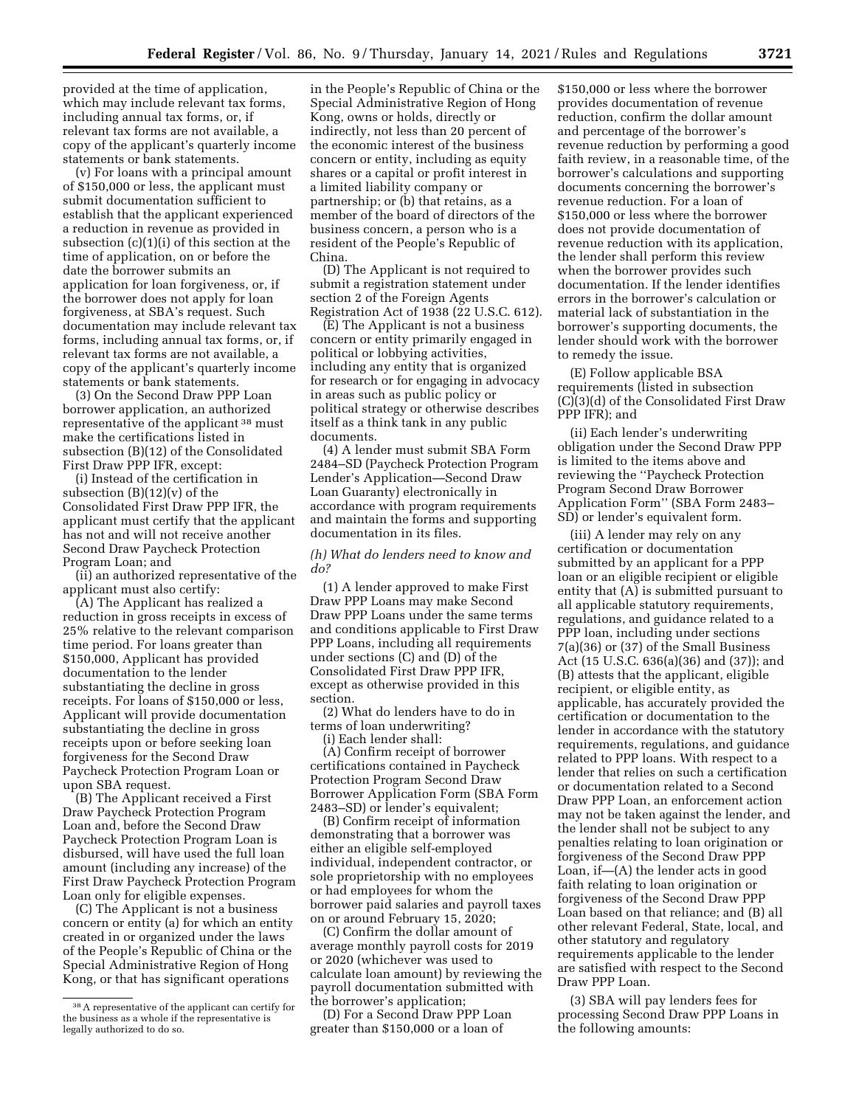provided at the time of application, which may include relevant tax forms, including annual tax forms, or, if relevant tax forms are not available, a copy of the applicant's quarterly income statements or bank statements.

(v) For loans with a principal amount of \$150,000 or less, the applicant must submit documentation sufficient to establish that the applicant experienced a reduction in revenue as provided in subsection (c)(1)(i) of this section at the time of application, on or before the date the borrower submits an application for loan forgiveness, or, if the borrower does not apply for loan forgiveness, at SBA's request. Such documentation may include relevant tax forms, including annual tax forms, or, if relevant tax forms are not available, a copy of the applicant's quarterly income statements or bank statements.

(3) On the Second Draw PPP Loan borrower application, an authorized representative of the applicant 38 must make the certifications listed in subsection (B)(12) of the Consolidated First Draw PPP IFR, except:

(i) Instead of the certification in subsection (B)(12)(v) of the Consolidated First Draw PPP IFR, the applicant must certify that the applicant has not and will not receive another Second Draw Paycheck Protection Program Loan; and

(ii) an authorized representative of the applicant must also certify:

(A) The Applicant has realized a reduction in gross receipts in excess of 25% relative to the relevant comparison time period. For loans greater than \$150,000, Applicant has provided documentation to the lender substantiating the decline in gross receipts. For loans of \$150,000 or less, Applicant will provide documentation substantiating the decline in gross receipts upon or before seeking loan forgiveness for the Second Draw Paycheck Protection Program Loan or upon SBA request.

(B) The Applicant received a First Draw Paycheck Protection Program Loan and, before the Second Draw Paycheck Protection Program Loan is disbursed, will have used the full loan amount (including any increase) of the First Draw Paycheck Protection Program Loan only for eligible expenses.

(C) The Applicant is not a business concern or entity (a) for which an entity created in or organized under the laws of the People's Republic of China or the Special Administrative Region of Hong Kong, or that has significant operations

in the People's Republic of China or the Special Administrative Region of Hong Kong, owns or holds, directly or indirectly, not less than 20 percent of the economic interest of the business concern or entity, including as equity shares or a capital or profit interest in a limited liability company or partnership; or (b) that retains, as a member of the board of directors of the business concern, a person who is a resident of the People's Republic of China.

(D) The Applicant is not required to submit a registration statement under section 2 of the Foreign Agents Registration Act of 1938 (22 U.S.C. 612).

(E) The Applicant is not a business concern or entity primarily engaged in political or lobbying activities, including any entity that is organized for research or for engaging in advocacy in areas such as public policy or political strategy or otherwise describes itself as a think tank in any public documents.

(4) A lender must submit SBA Form 2484–SD (Paycheck Protection Program Lender's Application—Second Draw Loan Guaranty) electronically in accordance with program requirements and maintain the forms and supporting documentation in its files.

# *(h) What do lenders need to know and do?*

(1) A lender approved to make First Draw PPP Loans may make Second Draw PPP Loans under the same terms and conditions applicable to First Draw PPP Loans, including all requirements under sections (C) and (D) of the Consolidated First Draw PPP IFR, except as otherwise provided in this section.

(2) What do lenders have to do in terms of loan underwriting?

(i) Each lender shall:

(A) Confirm receipt of borrower certifications contained in Paycheck Protection Program Second Draw Borrower Application Form (SBA Form 2483–SD) or lender's equivalent;

(B) Confirm receipt of information demonstrating that a borrower was either an eligible self-employed individual, independent contractor, or sole proprietorship with no employees or had employees for whom the borrower paid salaries and payroll taxes on or around February 15, 2020;

(C) Confirm the dollar amount of average monthly payroll costs for 2019 or 2020 (whichever was used to calculate loan amount) by reviewing the payroll documentation submitted with the borrower's application;

(D) For a Second Draw PPP Loan greater than \$150,000 or a loan of

\$150,000 or less where the borrower provides documentation of revenue reduction, confirm the dollar amount and percentage of the borrower's revenue reduction by performing a good faith review, in a reasonable time, of the borrower's calculations and supporting documents concerning the borrower's revenue reduction. For a loan of \$150,000 or less where the borrower does not provide documentation of revenue reduction with its application, the lender shall perform this review when the borrower provides such documentation. If the lender identifies errors in the borrower's calculation or material lack of substantiation in the borrower's supporting documents, the lender should work with the borrower to remedy the issue.

(E) Follow applicable BSA requirements (listed in subsection (C)(3)(d) of the Consolidated First Draw PPP IFR); and

(ii) Each lender's underwriting obligation under the Second Draw PPP is limited to the items above and reviewing the ''Paycheck Protection Program Second Draw Borrower Application Form'' (SBA Form 2483– SD) or lender's equivalent form.

(iii) A lender may rely on any certification or documentation submitted by an applicant for a PPP loan or an eligible recipient or eligible entity that (A) is submitted pursuant to all applicable statutory requirements, regulations, and guidance related to a PPP loan, including under sections 7(a)(36) or (37) of the Small Business Act (15 U.S.C. 636(a)(36) and (37)); and (B) attests that the applicant, eligible recipient, or eligible entity, as applicable, has accurately provided the certification or documentation to the lender in accordance with the statutory requirements, regulations, and guidance related to PPP loans. With respect to a lender that relies on such a certification or documentation related to a Second Draw PPP Loan, an enforcement action may not be taken against the lender, and the lender shall not be subject to any penalties relating to loan origination or forgiveness of the Second Draw PPP Loan, if—(A) the lender acts in good faith relating to loan origination or forgiveness of the Second Draw PPP Loan based on that reliance; and (B) all other relevant Federal, State, local, and other statutory and regulatory requirements applicable to the lender are satisfied with respect to the Second Draw PPP Loan.

(3) SBA will pay lenders fees for processing Second Draw PPP Loans in the following amounts:

<sup>38</sup>A representative of the applicant can certify for the business as a whole if the representative is legally authorized to do so.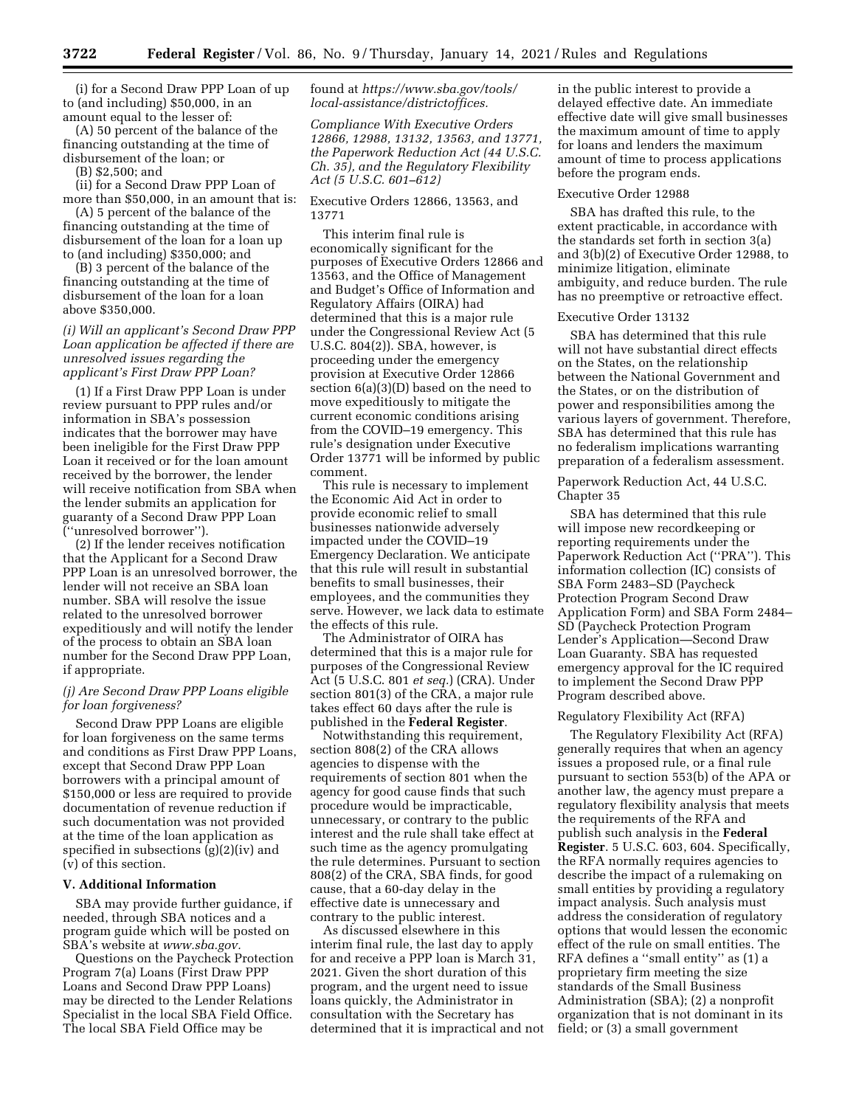(i) for a Second Draw PPP Loan of up to (and including) \$50,000, in an amount equal to the lesser of:

(A) 50 percent of the balance of the financing outstanding at the time of disbursement of the loan; or

(B) \$2,500; and

(ii) for a Second Draw PPP Loan of more than \$50,000, in an amount that is:

(A) 5 percent of the balance of the financing outstanding at the time of disbursement of the loan for a loan up to (and including) \$350,000; and

(B) 3 percent of the balance of the financing outstanding at the time of disbursement of the loan for a loan above \$350,000.

## *(i) Will an applicant's Second Draw PPP Loan application be affected if there are unresolved issues regarding the applicant's First Draw PPP Loan?*

(1) If a First Draw PPP Loan is under review pursuant to PPP rules and/or information in SBA's possession indicates that the borrower may have been ineligible for the First Draw PPP Loan it received or for the loan amount received by the borrower, the lender will receive notification from SBA when the lender submits an application for guaranty of a Second Draw PPP Loan (''unresolved borrower'').

(2) If the lender receives notification that the Applicant for a Second Draw PPP Loan is an unresolved borrower, the lender will not receive an SBA loan number. SBA will resolve the issue related to the unresolved borrower expeditiously and will notify the lender of the process to obtain an SBA loan number for the Second Draw PPP Loan, if appropriate.

# *(j) Are Second Draw PPP Loans eligible for loan forgiveness?*

Second Draw PPP Loans are eligible for loan forgiveness on the same terms and conditions as First Draw PPP Loans, except that Second Draw PPP Loan borrowers with a principal amount of \$150,000 or less are required to provide documentation of revenue reduction if such documentation was not provided at the time of the loan application as specified in subsections (g)(2)(iv) and (v) of this section.

### **V. Additional Information**

SBA may provide further guidance, if needed, through SBA notices and a program guide which will be posted on SBA's website at *[www.sba.gov.](http://www.sba.gov)* 

Questions on the Paycheck Protection Program 7(a) Loans (First Draw PPP Loans and Second Draw PPP Loans) may be directed to the Lender Relations Specialist in the local SBA Field Office. The local SBA Field Office may be

found at *[https://www.sba.gov/tools/](https://www.sba.gov/tools/local-assistance/districtoffices)  [local-assistance/districtoffices.](https://www.sba.gov/tools/local-assistance/districtoffices)* 

*Compliance With Executive Orders 12866, 12988, 13132, 13563, and 13771, the Paperwork Reduction Act (44 U.S.C. Ch. 35), and the Regulatory Flexibility Act (5 U.S.C. 601–612)* 

Executive Orders 12866, 13563, and 13771

This interim final rule is economically significant for the purposes of Executive Orders 12866 and 13563, and the Office of Management and Budget's Office of Information and Regulatory Affairs (OIRA) had determined that this is a major rule under the Congressional Review Act (5 U.S.C. 804(2)). SBA, however, is proceeding under the emergency provision at Executive Order 12866 section 6(a)(3)(D) based on the need to move expeditiously to mitigate the current economic conditions arising from the COVID–19 emergency. This rule's designation under Executive Order 13771 will be informed by public comment.

This rule is necessary to implement the Economic Aid Act in order to provide economic relief to small businesses nationwide adversely impacted under the COVID–19 Emergency Declaration. We anticipate that this rule will result in substantial benefits to small businesses, their employees, and the communities they serve. However, we lack data to estimate the effects of this rule.

The Administrator of OIRA has determined that this is a major rule for purposes of the Congressional Review Act (5 U.S.C. 801 *et seq.*) (CRA). Under section 801(3) of the CRA, a major rule takes effect 60 days after the rule is published in the **Federal Register**.

Notwithstanding this requirement, section 808(2) of the CRA allows agencies to dispense with the requirements of section 801 when the agency for good cause finds that such procedure would be impracticable, unnecessary, or contrary to the public interest and the rule shall take effect at such time as the agency promulgating the rule determines. Pursuant to section 808(2) of the CRA, SBA finds, for good cause, that a 60-day delay in the effective date is unnecessary and contrary to the public interest.

As discussed elsewhere in this interim final rule, the last day to apply for and receive a PPP loan is March 31, 2021. Given the short duration of this program, and the urgent need to issue loans quickly, the Administrator in consultation with the Secretary has determined that it is impractical and not in the public interest to provide a delayed effective date. An immediate effective date will give small businesses the maximum amount of time to apply for loans and lenders the maximum amount of time to process applications before the program ends.

### Executive Order 12988

SBA has drafted this rule, to the extent practicable, in accordance with the standards set forth in section 3(a) and 3(b)(2) of Executive Order 12988, to minimize litigation, eliminate ambiguity, and reduce burden. The rule has no preemptive or retroactive effect.

### Executive Order 13132

SBA has determined that this rule will not have substantial direct effects on the States, on the relationship between the National Government and the States, or on the distribution of power and responsibilities among the various layers of government. Therefore, SBA has determined that this rule has no federalism implications warranting preparation of a federalism assessment.

# Paperwork Reduction Act, 44 U.S.C. Chapter 35

SBA has determined that this rule will impose new recordkeeping or reporting requirements under the Paperwork Reduction Act (''PRA''). This information collection (IC) consists of SBA Form 2483–SD (Paycheck Protection Program Second Draw Application Form) and SBA Form 2484– SD (Paycheck Protection Program Lender's Application—Second Draw Loan Guaranty. SBA has requested emergency approval for the IC required to implement the Second Draw PPP Program described above.

#### Regulatory Flexibility Act (RFA)

The Regulatory Flexibility Act (RFA) generally requires that when an agency issues a proposed rule, or a final rule pursuant to section 553(b) of the APA or another law, the agency must prepare a regulatory flexibility analysis that meets the requirements of the RFA and publish such analysis in the **Federal Register**. 5 U.S.C. 603, 604. Specifically, the RFA normally requires agencies to describe the impact of a rulemaking on small entities by providing a regulatory impact analysis. Such analysis must address the consideration of regulatory options that would lessen the economic effect of the rule on small entities. The RFA defines a ''small entity'' as (1) a proprietary firm meeting the size standards of the Small Business Administration (SBA); (2) a nonprofit organization that is not dominant in its field; or (3) a small government